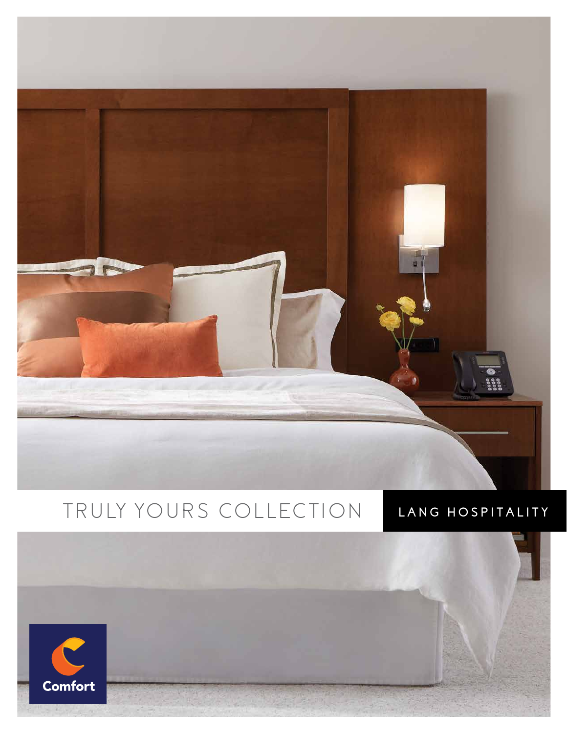

## T R U LY Y O U R S COLLECTION **LANG HOSPITALITY**

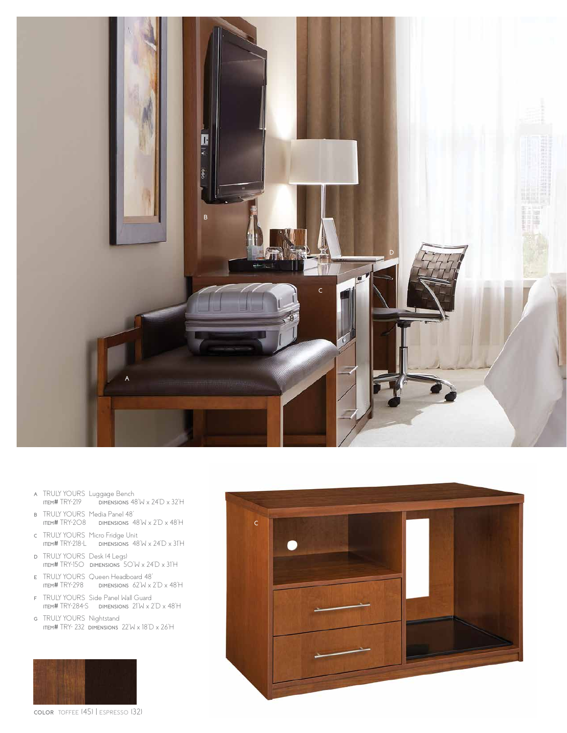

- **<sup>a</sup>** TRULY YOURS Luggage Bench DIMENSIONS  $48'W \times 24'D \times 32'H$
- **b** TRULY YOURS Media Panel 48' **item#** TRY-208 **dimensions** 48"W x 2"D x 48"H
- **<sup>c</sup>** TRULY YOURS Micro Fridge Unit **item#** TRY-218-L **dimensions** 48"W x 24"D x 31"H
- **<sup>d</sup>** TRULY YOURS Desk (4 Legs) **item#** TRY-150 **dimensions** 50"W x 24"D x 31"H
- **<sup>e</sup>** TRULY YOURS Queen Headboard 48" **item#** TRY-298 **dimensions** 62"W x 2"D x 48"H
- **<sup>f</sup>** TRULY YOURS Side Panel Wall Guard **item#** TRY-284-S **dimensions** 21"W x 2"D x 48"H
- **<sup>g</sup>** TRULY YOURS Nightstand **item#** TRY- 232 **dimensions** 22"W x 18"D x 26"H





**color** toffee (45) | espresso (32)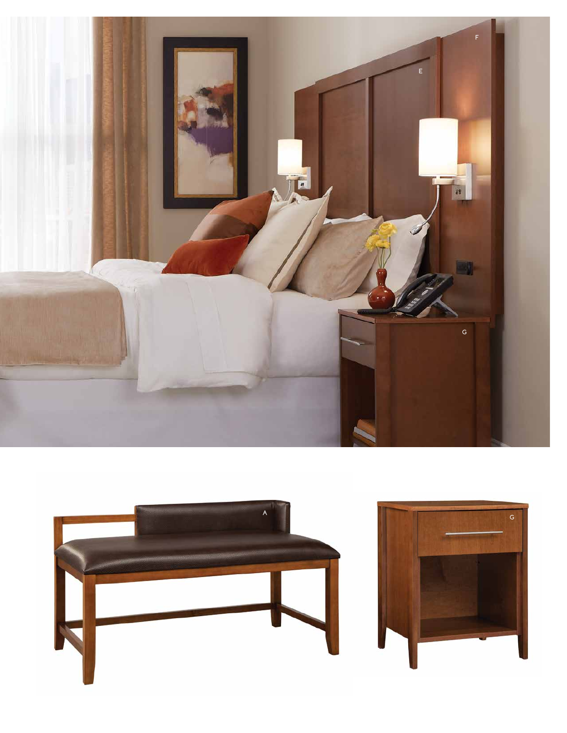